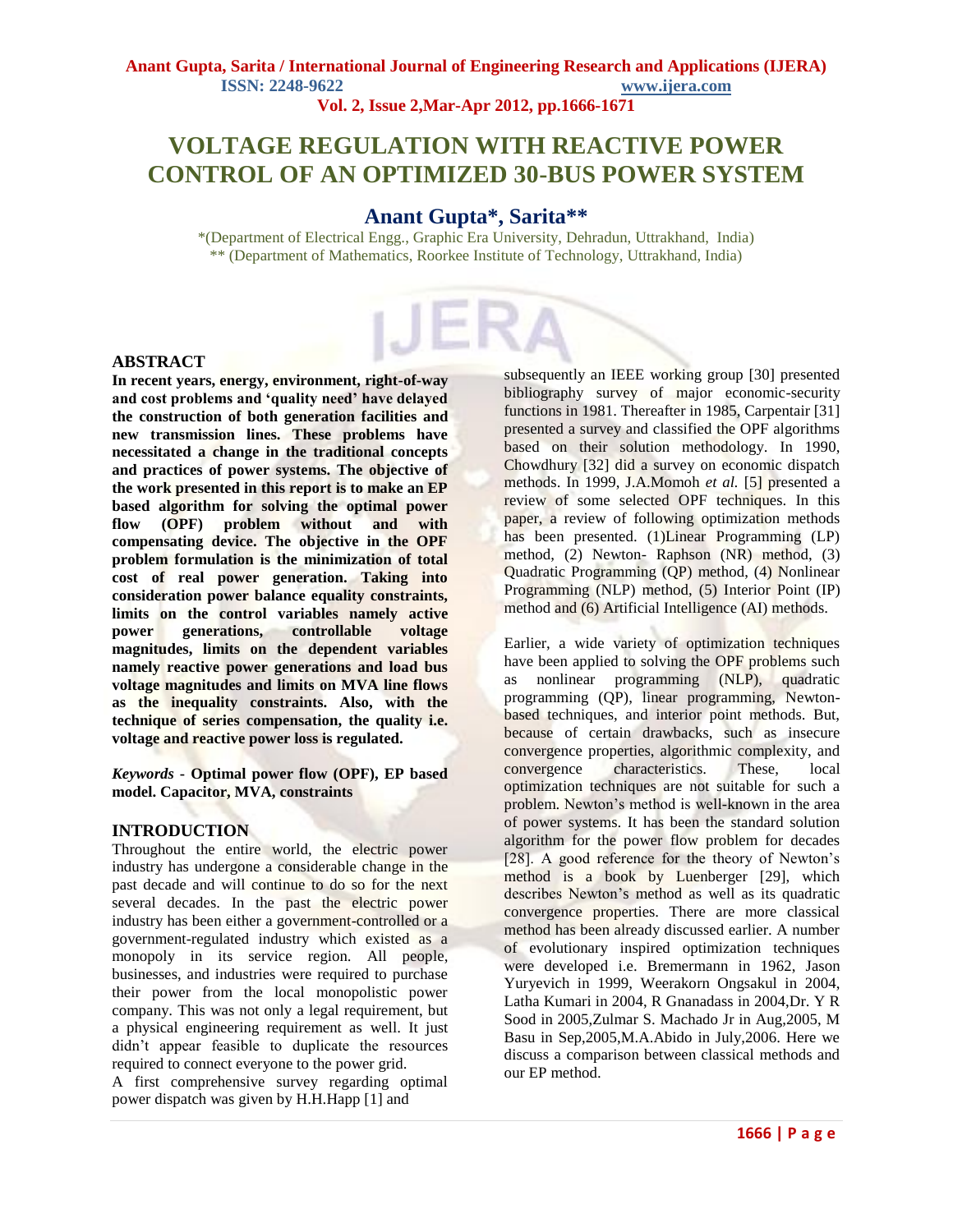#### **Anant Gupta, Sarita / International Journal of Engineering Research and Applications (IJERA) ISSN: 2248-9622 www.ijera.com Vol. 2, Issue 2,Mar-Apr 2012, pp.1666-1671**

# **VOLTAGE REGULATION WITH REACTIVE POWER CONTROL OF AN OPTIMIZED 30-BUS POWER SYSTEM**

# **Anant Gupta\*, Sarita\*\***

\*(Department of Electrical Engg., Graphic Era University, Dehradun, Uttrakhand, India) \*\* (Department of Mathematics, Roorkee Institute of Technology, Uttrakhand, India)

#### **ABSTRACT**

**In recent years, energy, environment, right-of-way and cost problems and 'quality need' have delayed the construction of both generation facilities and new transmission lines. These problems have necessitated a change in the traditional concepts and practices of power systems. The objective of the work presented in this report is to make an EP based algorithm for solving the optimal power flow (OPF) problem without and with compensating device. The objective in the OPF problem formulation is the minimization of total cost of real power generation. Taking into consideration power balance equality constraints, limits on the control variables namely active power generations, controllable voltage magnitudes, limits on the dependent variables namely reactive power generations and load bus voltage magnitudes and limits on MVA line flows as the inequality constraints. Also, with the technique of series compensation, the quality i.e. voltage and reactive power loss is regulated.**

*Keywords* **- Optimal power flow (OPF), EP based model. Capacitor, MVA, constraints**

### **INTRODUCTION**

Throughout the entire world, the electric power industry has undergone a considerable change in the past decade and will continue to do so for the next several decades. In the past the electric power industry has been either a government-controlled or a government-regulated industry which existed as a monopoly in its service region. All people, businesses, and industries were required to purchase their power from the local monopolistic power company. This was not only a legal requirement, but a physical engineering requirement as well. It just didn't appear feasible to duplicate the resources required to connect everyone to the power grid.

A first comprehensive survey regarding optimal power dispatch was given by H.H.Happ [1] and

subsequently an IEEE working group [30] presented bibliography survey of major economic-security functions in 1981. Thereafter in 1985, Carpentair [31] presented a survey and classified the OPF algorithms based on their solution methodology. In 1990, Chowdhury [32] did a survey on economic dispatch methods. In 1999, J.A.Momoh *et al.* [5] presented a review of some selected OPF techniques. In this paper, a review of following optimization methods has been presented. (1)Linear Programming (LP) method, (2) Newton- Raphson (NR) method, (3) Quadratic Programming (QP) method, (4) Nonlinear Programming (NLP) method, (5) Interior Point (IP) method and (6) Artificial Intelligence (AI) methods.

Earlier, a wide variety of optimization techniques have been applied to solving the OPF problems such as nonlinear programming (NLP), quadratic programming (QP), linear programming, Newtonbased techniques, and interior point methods. But, because of certain drawbacks, such as insecure convergence properties, algorithmic complexity, and convergence characteristics. These, local optimization techniques are not suitable for such a problem. Newton's method is well-known in the area of power systems. It has been the standard solution algorithm for the power flow problem for decades [28]. A good reference for the theory of Newton's method is a book by Luenberger [29], which describes Newton's method as well as its quadratic convergence properties. There are more classical method has been already discussed earlier. A number of evolutionary inspired optimization techniques were developed i.e. Bremermann in 1962, Jason Yuryevich in 1999, Weerakorn Ongsakul in 2004, Latha Kumari in 2004, R Gnanadass in 2004,Dr. Y R Sood in 2005,Zulmar S. Machado Jr in Aug,2005, M Basu in Sep,2005,M.A.Abido in July,2006. Here we discuss a comparison between classical methods and our EP method.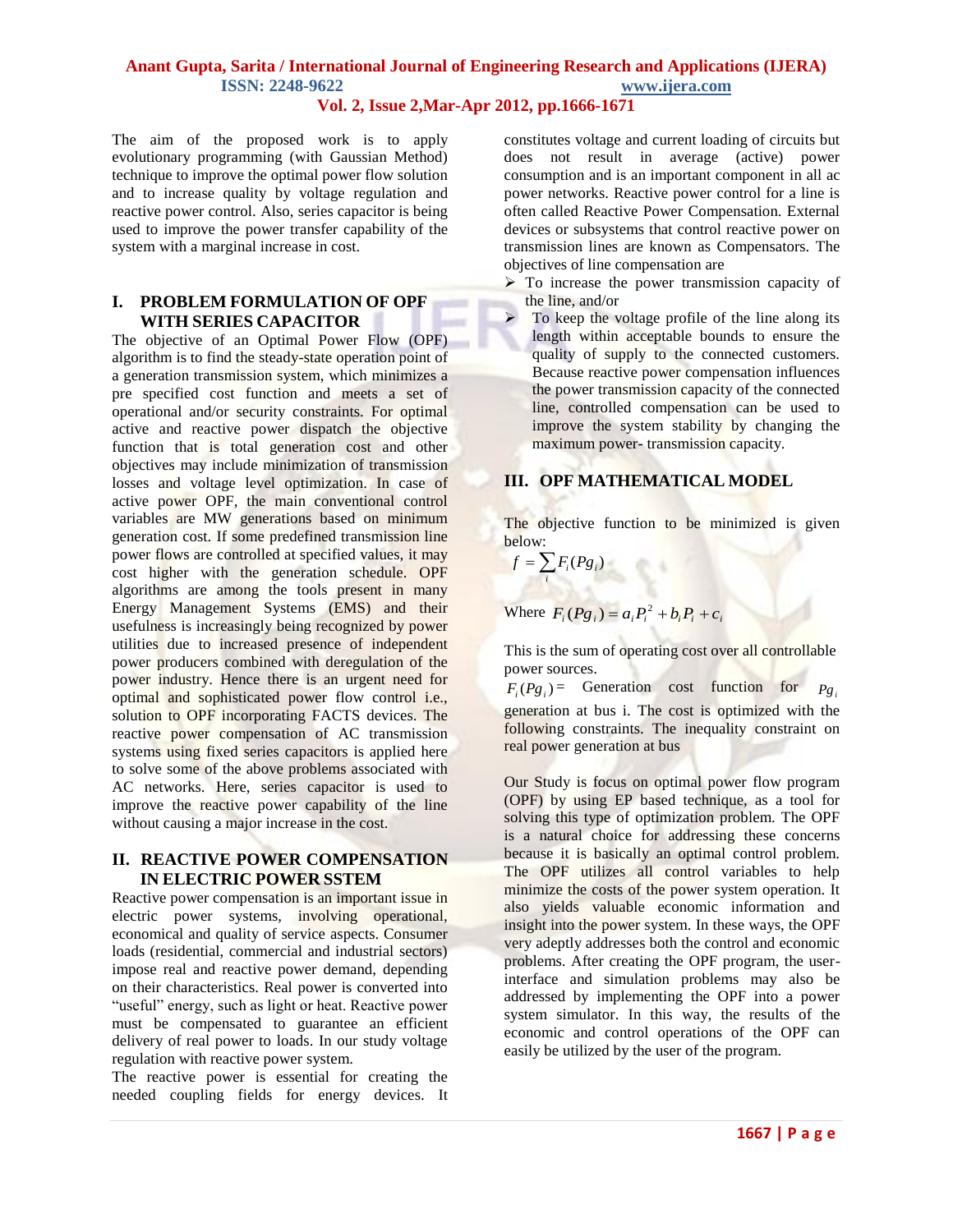# **Anant Gupta, Sarita / International Journal of Engineering Research and Applications (IJERA) ISSN: 2248-9622 www.ijera.com**

### **Vol. 2, Issue 2,Mar-Apr 2012, pp.1666-1671**

The aim of the proposed work is to apply evolutionary programming (with Gaussian Method) technique to improve the optimal power flow solution and to increase quality by voltage regulation and reactive power control. Also, series capacitor is being used to improve the power transfer capability of the system with a marginal increase in cost.

#### **I. PROBLEM FORMULATION OF OPF WITH SERIES CAPACITOR**

The objective of an Optimal Power Flow (OPF) algorithm is to find the steady-state operation point of a generation transmission system, which minimizes a pre specified cost function and meets a set of operational and/or security constraints. For optimal active and reactive power dispatch the objective function that is total generation cost and other objectives may include minimization of transmission losses and voltage level optimization. In case of active power OPF, the main conventional control variables are MW generations based on minimum generation cost. If some predefined transmission line power flows are controlled at specified values, it may cost higher with the generation schedule. OPF algorithms are among the tools present in many Energy Management Systems (EMS) and their usefulness is increasingly being recognized by power utilities due to increased presence of independent power producers combined with deregulation of the power industry. Hence there is an urgent need for optimal and sophisticated power flow control i.e., solution to OPF incorporating FACTS devices. The reactive power compensation of AC transmission systems using fixed series capacitors is applied here to solve some of the above problems associated with AC networks. Here, series capacitor is used to improve the reactive power capability of the line without causing a major increase in the cost.

#### **II. REACTIVE POWER COMPENSATION IN ELECTRIC POWER SSTEM**

Reactive power compensation is an important issue in electric power systems, involving operational, economical and quality of service aspects. Consumer loads (residential, commercial and industrial sectors) impose real and reactive power demand, depending on their characteristics. Real power is converted into "useful" energy, such as light or heat. Reactive power must be compensated to guarantee an efficient delivery of real power to loads. In our study voltage regulation with reactive power system.

The reactive power is essential for creating the needed coupling fields for energy devices. It constitutes voltage and current loading of circuits but does not result in average (active) power consumption and is an important component in all ac power networks. Reactive power control for a line is often called Reactive Power Compensation. External devices or subsystems that control reactive power on transmission lines are known as Compensators. The objectives of line compensation are

- $\triangleright$  To increase the power transmission capacity of the line, and/or
	- To keep the voltage profile of the line along its length within acceptable bounds to ensure the quality of supply to the connected customers. Because reactive power compensation influences the power transmission capacity of the connected line, controlled compensation can be used to improve the system stability by changing the maximum power- transmission capacity.

### **III. OPF MATHEMATICAL MODEL**

The objective function to be minimized is given below:

$$
f = \sum_i F_i(Pg_i)
$$

Where 
$$
F_i(Pg_i) = a_i P_i^2 + b_i P_i + c_i
$$

This is the sum of operating cost over all controllable power sources.

 $F_i(Pg_i)$  = Generation cost function for  $Pg_i$ generation at bus i. The cost is optimized with the following constraints. The inequality constraint on real power generation at bus

Our Study is focus on optimal power flow program (OPF) by using EP based technique, as a tool for solving this type of optimization problem. The OPF is a natural choice for addressing these concerns because it is basically an optimal control problem. The OPF utilizes all control variables to help minimize the costs of the power system operation. It also yields valuable economic information and insight into the power system. In these ways, the OPF very adeptly addresses both the control and economic problems. After creating the OPF program, the userinterface and simulation problems may also be addressed by implementing the OPF into a power system simulator. In this way, the results of the economic and control operations of the OPF can easily be utilized by the user of the program.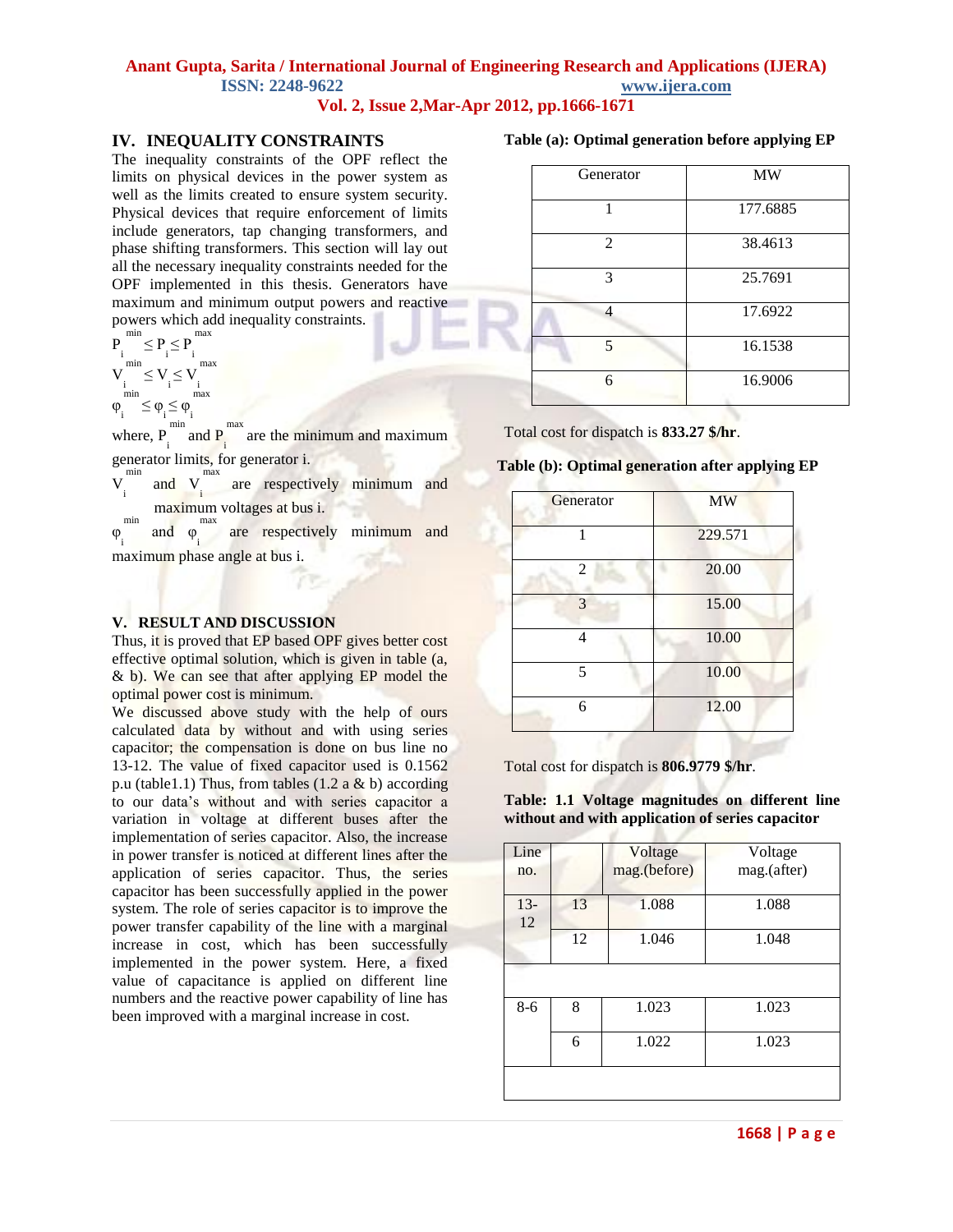# **Anant Gupta, Sarita / International Journal of Engineering Research and Applications (IJERA) ISSN: 2248-9622 www.ijera.com**

**Vol. 2, Issue 2,Mar-Apr 2012, pp.1666-1671**

### **IV. INEQUALITY CONSTRAINTS**

The inequality constraints of the OPF reflect the limits on physical devices in the power system as well as the limits created to ensure system security. Physical devices that require enforcement of limits include generators, tap changing transformers, and phase shifting transformers. This section will lay out all the necessary inequality constraints needed for the OPF implemented in this thesis. Generators have maximum and minimum output powers and reactive powers which add inequality constraints.

$$
\begin{array}{l}P_i^{\text{min}}\leq P_i\leq P_i^{\text{max}}\\ V_i^{\text{min}}\leq V_i\leq V_i^{\text{max}}\\ \frac{1}{\text{min}} & \frac{1}{i} \\ \phi_i^{\text{min}}\leq \phi_i\leq \phi_i^{\text{max}}\\ \frac{1}{\text{min}} & \frac{1}{i} \end{array}
$$

where,  $P_{i}$  $\frac{\text{min}}{\text{and } P_i}$ max are the minimum and maximum generator limits, for generator i.

V i min and V i max are respectively minimum and maximum voltages at bus i.

φ <sup>'i</sup> maximum phase angle at bus i. min and φ<sub>i</sub> max are respectively minimum and

## **V. RESULT AND DISCUSSION**

Thus, it is proved that EP based OPF gives better cost effective optimal solution, which is given in table (a, & b). We can see that after applying EP model the optimal power cost is minimum.

We discussed above study with the help of ours calculated data by without and with using series capacitor; the compensation is done on bus line no 13-12. The value of fixed capacitor used is 0.1562 p.u (table1.1) Thus, from tables  $(1.2 \text{ a } \& \text{ b})$  according to our data's without and with series capacitor a variation in voltage at different buses after the implementation of series capacitor. Also, the increase in power transfer is noticed at different lines after the application of series capacitor. Thus, the series capacitor has been successfully applied in the power system. The role of series capacitor is to improve the power transfer capability of the line with a marginal increase in cost, which has been successfully implemented in the power system. Here, a fixed value of capacitance is applied on different line numbers and the reactive power capability of line has been improved with a marginal increase in cost.

#### **Table (a): Optimal generation before applying EP**

| Generator      | MW       |
|----------------|----------|
| 1              | 177.6885 |
| $\overline{2}$ | 38.4613  |
| 3              | 25.7691  |
| 4              | 17.6922  |
| 5              | 16.1538  |
| 6              | 16.9006  |

Total cost for dispatch is **833.27 \$/hr**.

#### **Table (b): Optimal generation after applying EP**

| <b>MW</b> |  |  |
|-----------|--|--|
| 229.571   |  |  |
| 20.00     |  |  |
| 15.00     |  |  |
| 10.00     |  |  |
| 10.00     |  |  |
| 12.00     |  |  |
|           |  |  |

Total cost for dispatch is **806.9779 \$/hr**.

**Table: 1.1 Voltage magnitudes on different line without and with application of series capacitor**

| Line<br>no. |    | Voltage<br>mag.(before) | Voltage<br>mag.(after) |
|-------------|----|-------------------------|------------------------|
| $13-$<br>12 | 13 | 1.088                   | 1.088                  |
|             | 12 | 1.046                   | 1.048                  |
|             |    |                         |                        |
| $8-6$       | 8  | 1.023                   | 1.023                  |
|             | 6  | 1.022                   | 1.023                  |
|             |    |                         |                        |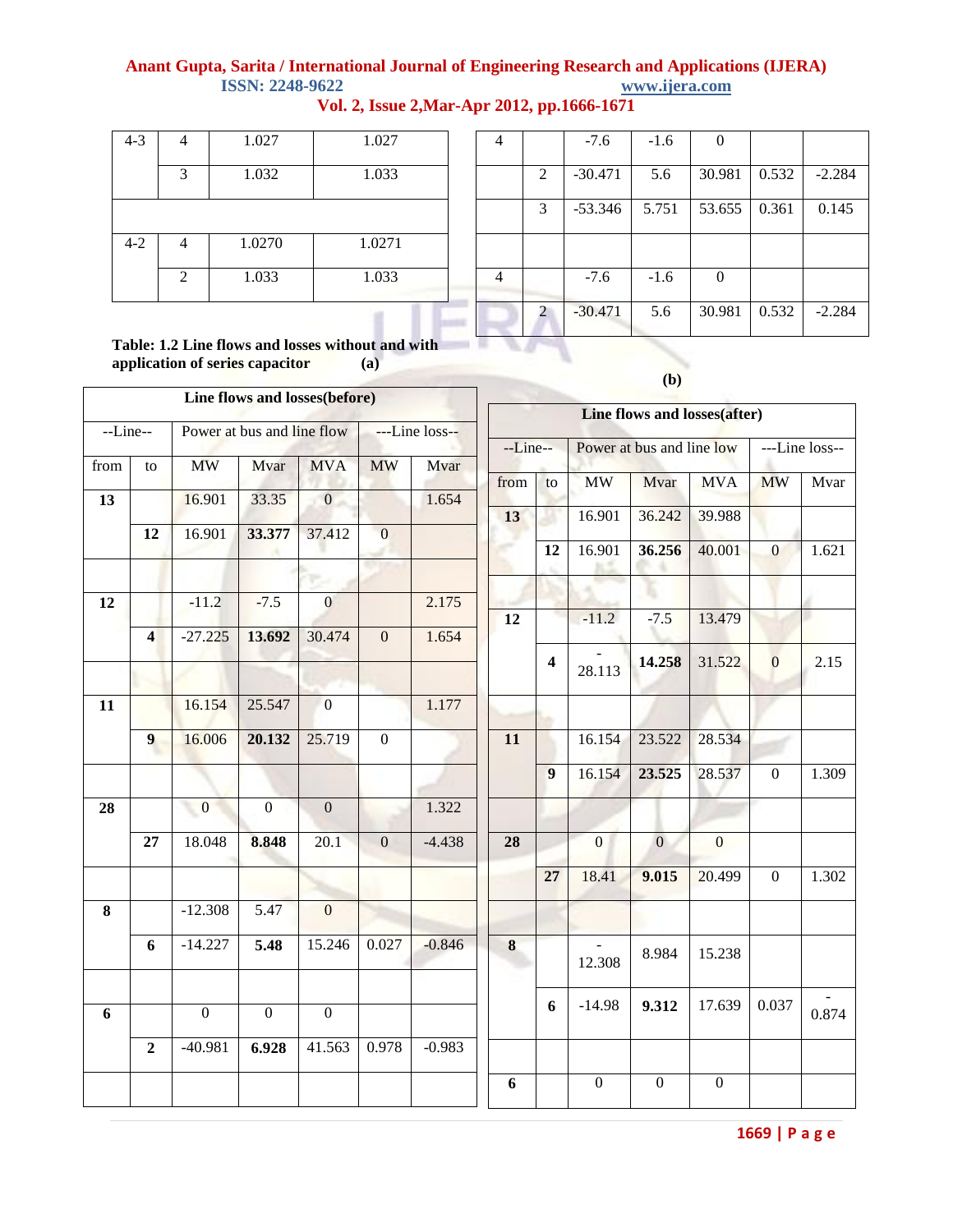# **Anant Gupta, Sarita / International Journal of Engineering Research and Applications (IJERA) ISSN: 2248-9622**

| $4 - 3$ |                | 1.027  | 1.027  |
|---------|----------------|--------|--------|
|         | 3              | 1.032  | 1.033  |
|         |                |        |        |
| $4 - 2$ |                | 1.0270 | 1.0271 |
|         | $\overline{2}$ | 1.033  | 1.033  |

|  |  |  | Vol. 2, Issue 2, Mar-Apr 2012, pp.1666-1671 |  |
|--|--|--|---------------------------------------------|--|
|--|--|--|---------------------------------------------|--|

in

| 4 |               | $-7.6$    | $-1.6$ | ∩      |       |          |
|---|---------------|-----------|--------|--------|-------|----------|
|   | 2             | $-30.471$ | 5.6    | 30.981 | 0.532 | $-2.284$ |
|   | 3             | $-53.346$ | 5.751  | 53.655 | 0.361 | 0.145    |
|   |               |           |        |        |       |          |
| 4 |               | $-7.6$    | $-1.6$ | 0      |       |          |
|   | $\mathcal{L}$ | $-30.471$ | 5.6    | 30.981 | 0.532 | $-2.284$ |
|   |               |           |        |        |       |          |

**Table: 1.2 Line flows and losses without and with application of series capacitor (a)**

|                         |                                                |                                                                               |                                                                       |                                                                                                                                    |                                                                       | --Line--                                    |                         |                  | ---Line loss--                                                        |                                             |                                                                                 |                                                           |
|-------------------------|------------------------------------------------|-------------------------------------------------------------------------------|-----------------------------------------------------------------------|------------------------------------------------------------------------------------------------------------------------------------|-----------------------------------------------------------------------|---------------------------------------------|-------------------------|------------------|-----------------------------------------------------------------------|---------------------------------------------|---------------------------------------------------------------------------------|-----------------------------------------------------------|
|                         |                                                |                                                                               |                                                                       |                                                                                                                                    |                                                                       |                                             |                         |                  |                                                                       |                                             |                                                                                 | Mvar                                                      |
|                         | 16.901                                         | 33.35                                                                         | $\overline{0}$                                                        |                                                                                                                                    | 1.654                                                                 |                                             |                         |                  |                                                                       |                                             |                                                                                 |                                                           |
|                         |                                                |                                                                               |                                                                       |                                                                                                                                    |                                                                       |                                             |                         |                  |                                                                       |                                             |                                                                                 |                                                           |
|                         |                                                |                                                                               |                                                                       |                                                                                                                                    |                                                                       |                                             | 12                      | 16.901           | 36.256                                                                | 40.001                                      | $\mathbf{0}$                                                                    | 1.621                                                     |
|                         |                                                |                                                                               |                                                                       |                                                                                                                                    |                                                                       |                                             |                         |                  |                                                                       |                                             |                                                                                 |                                                           |
|                         | $-11.2$                                        | $-7.5$                                                                        | $\mathbf{0}$                                                          |                                                                                                                                    | 2.175                                                                 |                                             |                         |                  |                                                                       |                                             |                                                                                 |                                                           |
| $\overline{\mathbf{4}}$ | $-27.225$                                      | 13.692                                                                        | 30.474                                                                | $\overline{0}$                                                                                                                     | 1.654                                                                 |                                             |                         |                  |                                                                       |                                             |                                                                                 |                                                           |
|                         |                                                |                                                                               |                                                                       |                                                                                                                                    |                                                                       |                                             | 4                       |                  | 14.258                                                                | 31.522                                      | $\overline{0}$                                                                  | 2.15                                                      |
|                         |                                                |                                                                               |                                                                       |                                                                                                                                    |                                                                       |                                             |                         |                  |                                                                       |                                             |                                                                                 |                                                           |
|                         | 16.154                                         | 25.547                                                                        |                                                                       |                                                                                                                                    | 1.177                                                                 |                                             |                         |                  |                                                                       |                                             |                                                                                 |                                                           |
| 9                       | 16.006                                         | 20.132                                                                        | 25.719                                                                | $\boldsymbol{0}$                                                                                                                   |                                                                       | 11                                          |                         | 16.154           | 23.522                                                                | 28.534                                      |                                                                                 |                                                           |
|                         |                                                |                                                                               |                                                                       |                                                                                                                                    |                                                                       |                                             |                         |                  |                                                                       |                                             |                                                                                 | 1.309                                                     |
|                         |                                                |                                                                               |                                                                       |                                                                                                                                    |                                                                       |                                             |                         |                  |                                                                       |                                             |                                                                                 |                                                           |
|                         |                                                |                                                                               |                                                                       |                                                                                                                                    |                                                                       |                                             |                         |                  |                                                                       |                                             |                                                                                 |                                                           |
| 27                      | 18.048                                         | 8.848                                                                         | 20.1                                                                  | $\boldsymbol{0}$                                                                                                                   | $-4.438$                                                              | 28                                          |                         | $\boldsymbol{0}$ | $\overline{0}$                                                        | $\boldsymbol{0}$                            |                                                                                 |                                                           |
|                         |                                                |                                                                               |                                                                       |                                                                                                                                    |                                                                       |                                             |                         |                  |                                                                       |                                             | $\mathbf{0}$                                                                    | 1.302                                                     |
|                         |                                                |                                                                               |                                                                       |                                                                                                                                    |                                                                       |                                             |                         |                  |                                                                       |                                             |                                                                                 |                                                           |
|                         |                                                |                                                                               |                                                                       |                                                                                                                                    |                                                                       |                                             |                         |                  |                                                                       |                                             |                                                                                 |                                                           |
| 6                       | $-14.227$                                      | 5.48                                                                          | 15.246                                                                | 0.027                                                                                                                              | $-0.846$                                                              | $\bf 8$                                     |                         |                  | 8.984                                                                 | 15.238                                      |                                                                                 |                                                           |
|                         |                                                |                                                                               |                                                                       |                                                                                                                                    |                                                                       |                                             |                         |                  |                                                                       |                                             |                                                                                 |                                                           |
|                         |                                                |                                                                               |                                                                       |                                                                                                                                    |                                                                       |                                             | 6                       | $-14.98$         | 9.312                                                                 | 17.639                                      | 0.037                                                                           | 0.874                                                     |
|                         |                                                |                                                                               |                                                                       |                                                                                                                                    |                                                                       |                                             |                         |                  |                                                                       |                                             |                                                                                 |                                                           |
|                         |                                                |                                                                               |                                                                       |                                                                                                                                    |                                                                       |                                             |                         |                  |                                                                       |                                             |                                                                                 |                                                           |
|                         |                                                |                                                                               |                                                                       |                                                                                                                                    |                                                                       | 6                                           |                         | $\boldsymbol{0}$ | $\boldsymbol{0}$                                                      | $\mathbf{0}$                                |                                                                                 |                                                           |
|                         | --Line--<br>${\rm to}$<br>12<br>$\overline{2}$ | <b>MW</b><br>16.901<br>$\mathbf{0}$<br>$-12.308$<br>$\mathbf{0}$<br>$-40.981$ | Mvar<br>33.377<br>$\overline{0}$<br>5.47<br>$\boldsymbol{0}$<br>6.928 | Power at bus and line flow<br><b>MVA</b><br>37.412<br>$\overline{0}$<br>$\mathbf{0}$<br>$\mathbf{0}$<br>$\boldsymbol{0}$<br>41.563 | Line flows and losses(before)<br><b>MW</b><br>$\overline{0}$<br>0.978 | $-Line$ loss--<br>Mvar<br>1.322<br>$-0.983$ | from<br>13<br><b>12</b> | to<br>9<br>27    | <b>MW</b><br>16.901<br>$-11.2$<br>28.113<br>16.154<br>18.41<br>12.308 | Mvar<br>36.242<br>$-7.5$<br>23.525<br>9.015 | Power at bus and line low<br><b>MVA</b><br>39.988<br>13.479<br>28.537<br>20.499 | Line flows and losses(after)<br><b>MW</b><br>$\mathbf{0}$ |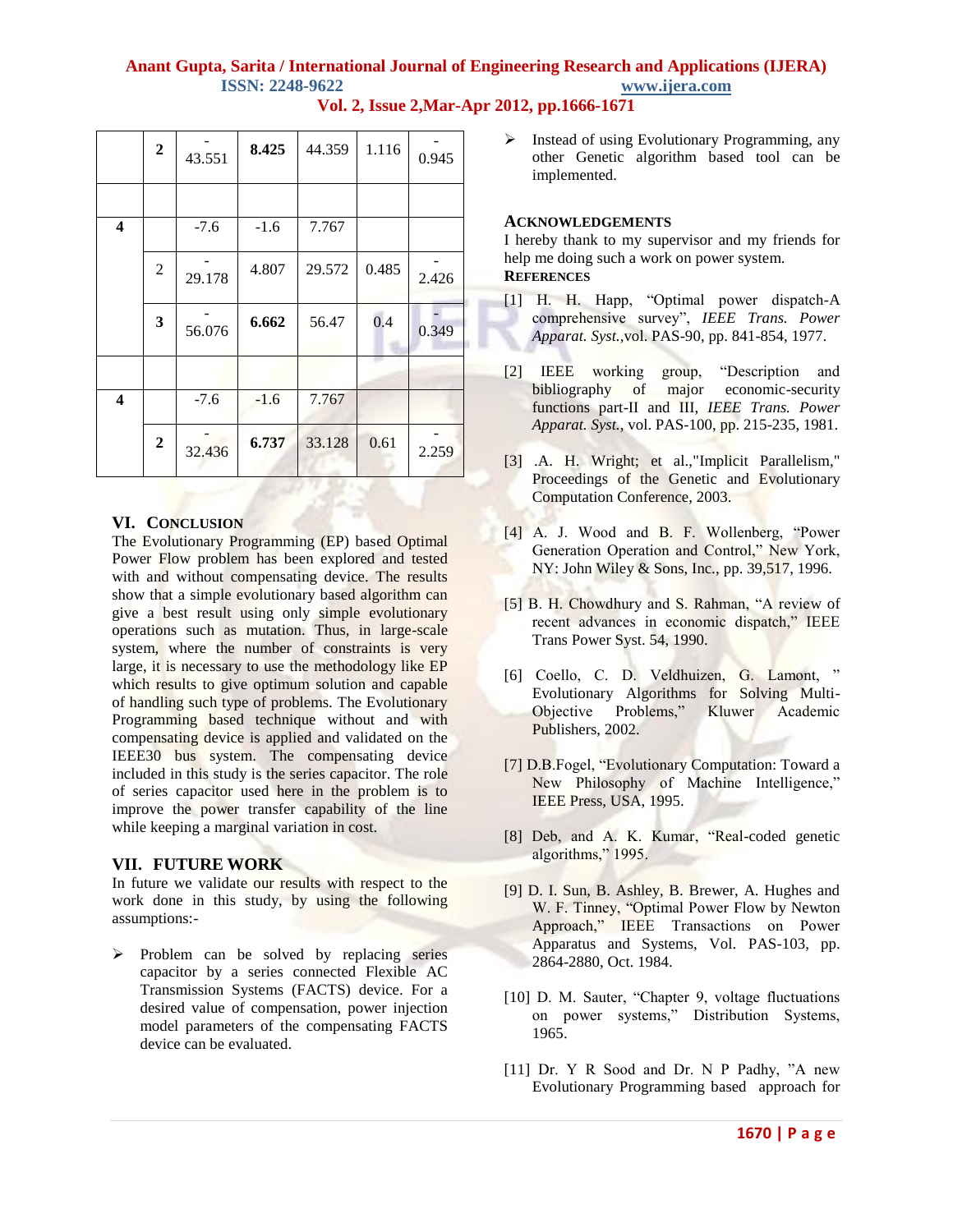# **Anant Gupta, Sarita / International Journal of Engineering Research and Applications (IJERA) ISSN: 2248-9622 www.ijera.com**

|                         | $\boldsymbol{2}$ | 43.551 | 8.425  | 44.359 | 1.116 | 0.945 |
|-------------------------|------------------|--------|--------|--------|-------|-------|
|                         |                  |        |        |        |       |       |
| $\overline{\mathbf{4}}$ |                  | $-7.6$ | $-1.6$ | 7.767  |       |       |
|                         | $\overline{c}$   | 29.178 | 4.807  | 29.572 | 0.485 | 2.426 |
|                         | 3                | 56.076 | 6.662  | 56.47  | 0.4   | 0.349 |
|                         |                  |        |        |        |       |       |
| $\overline{\mathbf{4}}$ |                  | $-7.6$ | $-1.6$ | 7.767  |       |       |
|                         | $\mathbf{2}$     | 32.436 | 6.737  | 33.128 | 0.61  | 2.259 |

**Vol. 2, Issue 2,Mar-Apr 2012, pp.1666-1671**

#### **VI. CONCLUSION**

The Evolutionary Programming (EP) based Optimal Power Flow problem has been explored and tested with and without compensating device. The results show that a simple evolutionary based algorithm can give a best result using only simple evolutionary operations such as mutation. Thus, in large-scale system, where the number of constraints is very large, it is necessary to use the methodology like EP which results to give optimum solution and capable of handling such type of problems. The Evolutionary Programming based technique without and with compensating device is applied and validated on the IEEE30 bus system. The compensating device included in this study is the series capacitor. The role of series capacitor used here in the problem is to improve the power transfer capability of the line while keeping a marginal variation in cost.

### **VII. FUTURE WORK**

In future we validate our results with respect to the work done in this study, by using the following assumptions:-

 $\triangleright$  Problem can be solved by replacing series capacitor by a series connected Flexible AC Transmission Systems (FACTS) device. For a desired value of compensation, power injection model parameters of the compensating FACTS device can be evaluated.

 $\triangleright$  Instead of using Evolutionary Programming, any other Genetic algorithm based tool can be implemented.

#### **ACKNOWLEDGEMENTS**

I hereby thank to my supervisor and my friends for help me doing such a work on power system. **REFERENCES**

- [1] H. H. Happ, "Optimal power dispatch-A comprehensive survey", *IEEE Trans. Power Apparat. Syst.,*vol. PAS-90, pp. 841-854, 1977.
- [2] IEEE working group, "Description and bibliography of major economic-security functions part-II and III, *IEEE Trans. Power Apparat. Syst.,* vol. PAS-100, pp. 215-235, 1981.
- [3] .A. H. Wright; et al.,"Implicit Parallelism," Proceedings of the Genetic and Evolutionary Computation Conference, 2003.
- [4] A. J. Wood and B. F. Wollenberg, "Power Generation Operation and Control," New York, NY: John Wiley & Sons, Inc., pp. 39,517, 1996.
- [5] B. H. Chowdhury and S. Rahman, "A review of recent advances in economic dispatch," IEEE Trans Power Syst. 54, 1990.
- [6] Coello, C. D. Veldhuizen, G. Lamont, " Evolutionary Algorithms for Solving Multi-Objective Problems," Kluwer Academic Publishers, 2002.
- [7] D.B.Fogel, "Evolutionary Computation: Toward a New Philosophy of Machine Intelligence," IEEE Press, USA, 1995.
- [8] Deb, and A. K. Kumar, "Real-coded genetic algorithms," 1995.
- [9] D. I. Sun, B. Ashley, B. Brewer, A. Hughes and W. F. Tinney, "Optimal Power Flow by Newton Approach," IEEE Transactions on Power Apparatus and Systems, Vol. PAS-103, pp. 2864-2880, Oct. 1984.
- [10] D. M. Sauter, "Chapter 9, voltage fluctuations on power systems," Distribution Systems, 1965.
- [11] Dr. Y R Sood and Dr. N P Padhy, "A new Evolutionary Programming based approach for